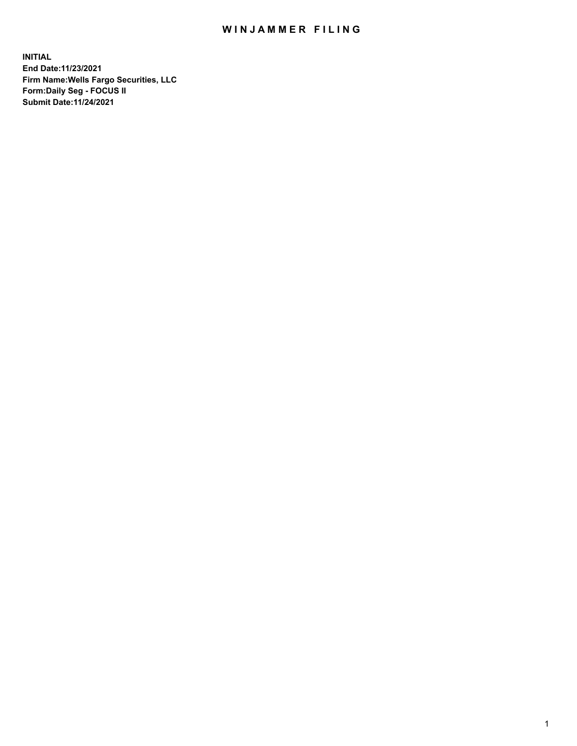## WIN JAMMER FILING

**INITIAL End Date:11/23/2021 Firm Name:Wells Fargo Securities, LLC Form:Daily Seg - FOCUS II Submit Date:11/24/2021**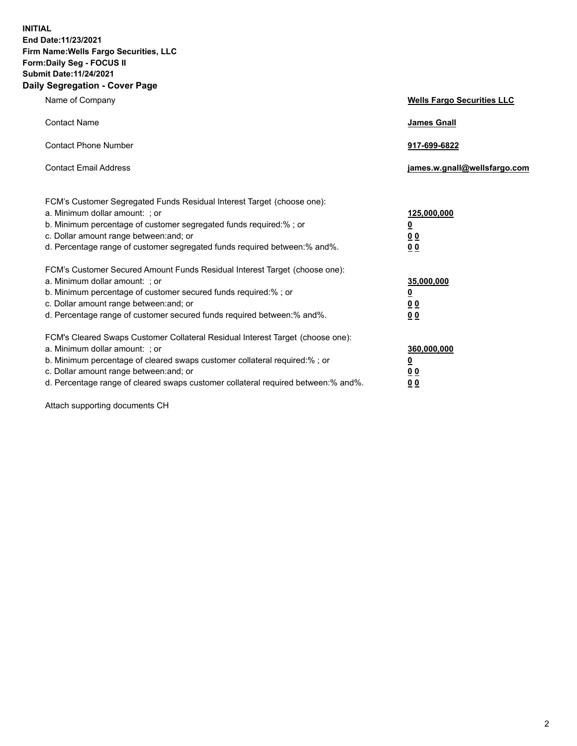**INITIAL End Date:11/23/2021 Firm Name:Wells Fargo Securities, LLC Form:Daily Seg - FOCUS II Submit Date:11/24/2021 Daily Segregation - Cover Page**

| Name of Company                                                                                                                                                                                                                                                                                                                | <b>Wells Fargo Securities LLC</b>                             |
|--------------------------------------------------------------------------------------------------------------------------------------------------------------------------------------------------------------------------------------------------------------------------------------------------------------------------------|---------------------------------------------------------------|
| <b>Contact Name</b>                                                                                                                                                                                                                                                                                                            | <b>James Gnall</b>                                            |
| <b>Contact Phone Number</b>                                                                                                                                                                                                                                                                                                    | 917-699-6822                                                  |
| <b>Contact Email Address</b>                                                                                                                                                                                                                                                                                                   | james.w.gnall@wellsfargo.com                                  |
| FCM's Customer Segregated Funds Residual Interest Target (choose one):<br>a. Minimum dollar amount: ; or<br>b. Minimum percentage of customer segregated funds required:% ; or<br>c. Dollar amount range between: and; or<br>d. Percentage range of customer segregated funds required between:% and%.                         | 125,000,000<br><u>0</u><br>0 <sub>0</sub><br>0 <sub>0</sub>   |
| FCM's Customer Secured Amount Funds Residual Interest Target (choose one):<br>a. Minimum dollar amount: ; or<br>b. Minimum percentage of customer secured funds required:%; or<br>c. Dollar amount range between: and; or<br>d. Percentage range of customer secured funds required between:% and%.                            | 35,000,000<br>$\overline{\mathbf{0}}$<br>00<br>0 <sub>0</sub> |
| FCM's Cleared Swaps Customer Collateral Residual Interest Target (choose one):<br>a. Minimum dollar amount: ; or<br>b. Minimum percentage of cleared swaps customer collateral required:% ; or<br>c. Dollar amount range between: and; or<br>d. Percentage range of cleared swaps customer collateral required between:% and%. | 360,000,000<br><u>0</u><br>00<br>00                           |

Attach supporting documents CH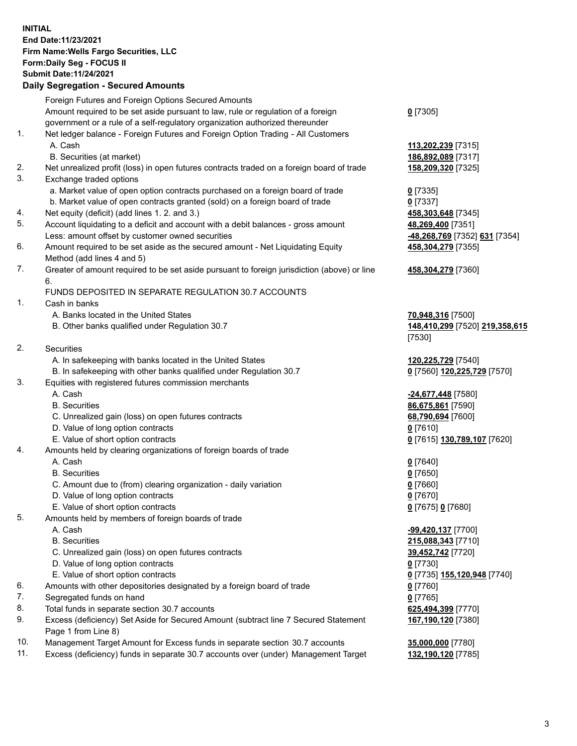## **INITIAL End Date:11/23/2021 Firm Name:Wells Fargo Securities, LLC Form:Daily Seg - FOCUS II Submit Date:11/24/2021**

## **Daily Segregation - Secured Amounts**

|     | Foreign Futures and Foreign Options Secured Amounts                                         |                                |
|-----|---------------------------------------------------------------------------------------------|--------------------------------|
|     | Amount required to be set aside pursuant to law, rule or regulation of a foreign            | $0$ [7305]                     |
|     | government or a rule of a self-regulatory organization authorized thereunder                |                                |
| 1.  | Net ledger balance - Foreign Futures and Foreign Option Trading - All Customers             |                                |
|     | A. Cash                                                                                     | 113,202,239 [7315]             |
|     | B. Securities (at market)                                                                   | 186,892,089 [7317]             |
| 2.  | Net unrealized profit (loss) in open futures contracts traded on a foreign board of trade   | 158,209,320 [7325]             |
| 3.  | Exchange traded options                                                                     |                                |
|     | a. Market value of open option contracts purchased on a foreign board of trade              | $0$ [7335]                     |
|     | b. Market value of open contracts granted (sold) on a foreign board of trade                | $0$ [7337]                     |
| 4.  | Net equity (deficit) (add lines 1. 2. and 3.)                                               | 458,303,648 [7345]             |
| 5.  | Account liquidating to a deficit and account with a debit balances - gross amount           | 48,269,400 [7351]              |
|     | Less: amount offset by customer owned securities                                            | -48,268,769 [7352] 631 [7354]  |
| 6.  | Amount required to be set aside as the secured amount - Net Liquidating Equity              | 458,304,279 [7355]             |
|     | Method (add lines 4 and 5)                                                                  |                                |
| 7.  | Greater of amount required to be set aside pursuant to foreign jurisdiction (above) or line | 458,304,279 [7360]             |
|     | 6.                                                                                          |                                |
|     | FUNDS DEPOSITED IN SEPARATE REGULATION 30.7 ACCOUNTS                                        |                                |
| 1.  | Cash in banks                                                                               |                                |
|     | A. Banks located in the United States                                                       | 70,948,316 [7500]              |
|     | B. Other banks qualified under Regulation 30.7                                              | 148,410,299 [7520] 219,358,615 |
|     |                                                                                             | [7530]                         |
| 2.  | Securities                                                                                  |                                |
|     | A. In safekeeping with banks located in the United States                                   | 120,225,729 [7540]             |
|     | B. In safekeeping with other banks qualified under Regulation 30.7                          | 0 [7560] 120,225,729 [7570]    |
| 3.  | Equities with registered futures commission merchants                                       |                                |
|     | A. Cash                                                                                     | -24,677,448 [7580]             |
|     | <b>B.</b> Securities                                                                        | 86,675,861 [7590]              |
|     | C. Unrealized gain (loss) on open futures contracts                                         | 68,790,694 [7600]              |
|     | D. Value of long option contracts                                                           | $0$ [7610]                     |
|     | E. Value of short option contracts                                                          | 0 [7615] 130,789,107 [7620]    |
| 4.  | Amounts held by clearing organizations of foreign boards of trade                           |                                |
|     | A. Cash                                                                                     | $0$ [7640]                     |
|     | <b>B.</b> Securities                                                                        | $0$ [7650]                     |
|     | C. Amount due to (from) clearing organization - daily variation                             | $0$ [7660]                     |
|     | D. Value of long option contracts                                                           | $0$ [7670]                     |
|     | E. Value of short option contracts                                                          | 0 [7675] 0 [7680]              |
| 5.  | Amounts held by members of foreign boards of trade                                          |                                |
|     | A. Cash                                                                                     | -99,420,137 [7700]             |
|     | <b>B.</b> Securities                                                                        | 215,088,343 [7710]             |
|     | C. Unrealized gain (loss) on open futures contracts                                         | 39,452,742 [7720]              |
|     | D. Value of long option contracts                                                           | $0$ [7730]                     |
|     | E. Value of short option contracts                                                          | 0 [7735] 155,120,948 [7740]    |
| 6.  | Amounts with other depositories designated by a foreign board of trade                      | $0$ [7760]                     |
| 7.  | Segregated funds on hand                                                                    | $0$ [7765]                     |
| 8.  | Total funds in separate section 30.7 accounts                                               | 625,494,399 [7770]             |
| 9.  | Excess (deficiency) Set Aside for Secured Amount (subtract line 7 Secured Statement         | 167,190,120 [7380]             |
|     | Page 1 from Line 8)                                                                         |                                |
| 10. | Management Target Amount for Excess funds in separate section 30.7 accounts                 | 35,000,000 [7780]              |

11. Excess (deficiency) funds in separate 30.7 accounts over (under) Management Target **132,190,120** [7785]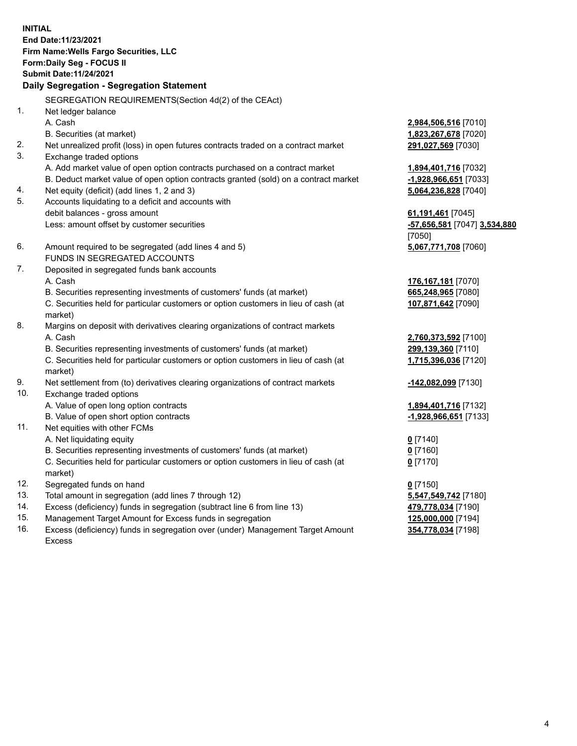**INITIAL End Date:11/23/2021 Firm Name:Wells Fargo Securities, LLC Form:Daily Seg - FOCUS II Submit Date:11/24/2021**

## **Daily Segregation - Segregation Statement**

SEGREGATION REQUIREMENTS(Section 4d(2) of the CEAct)

| 1.  | Net ledger balance                                                                  |                              |
|-----|-------------------------------------------------------------------------------------|------------------------------|
|     | A. Cash                                                                             | 2,984,506,516 [7010]         |
|     | B. Securities (at market)                                                           | 1,823,267,678 [7020]         |
| 2.  | Net unrealized profit (loss) in open futures contracts traded on a contract market  | 291,027,569 [7030]           |
| 3.  | Exchange traded options                                                             |                              |
|     |                                                                                     |                              |
|     | A. Add market value of open option contracts purchased on a contract market         | 1,894,401,716 [7032]         |
|     | B. Deduct market value of open option contracts granted (sold) on a contract market | -1,928,966,651 [7033]        |
| 4.  | Net equity (deficit) (add lines 1, 2 and 3)                                         | 5,064,236,828 [7040]         |
| 5.  | Accounts liquidating to a deficit and accounts with                                 |                              |
|     | debit balances - gross amount                                                       | 61,191,461 [7045]            |
|     | Less: amount offset by customer securities                                          | -57,656,581 [7047] 3,534,880 |
|     |                                                                                     | [7050]                       |
| 6.  | Amount required to be segregated (add lines 4 and 5)                                | 5,067,771,708 [7060]         |
|     | FUNDS IN SEGREGATED ACCOUNTS                                                        |                              |
| 7.  | Deposited in segregated funds bank accounts                                         |                              |
|     | A. Cash                                                                             | 176,167,181 [7070]           |
|     | B. Securities representing investments of customers' funds (at market)              | 665,248,965 [7080]           |
|     | C. Securities held for particular customers or option customers in lieu of cash (at | 107,871,642 [7090]           |
|     | market)                                                                             |                              |
| 8.  | Margins on deposit with derivatives clearing organizations of contract markets      |                              |
|     | A. Cash                                                                             | 2,760,373,592 [7100]         |
|     | B. Securities representing investments of customers' funds (at market)              | 299,139,360 [7110]           |
|     | C. Securities held for particular customers or option customers in lieu of cash (at | 1,715,396,036 [7120]         |
|     | market)                                                                             |                              |
| 9.  | Net settlement from (to) derivatives clearing organizations of contract markets     | -142,082,099 [7130]          |
| 10. | Exchange traded options                                                             |                              |
|     | A. Value of open long option contracts                                              | 1,894,401,716 [7132]         |
|     | B. Value of open short option contracts                                             | -1,928,966,651 [7133]        |
| 11. | Net equities with other FCMs                                                        |                              |
|     | A. Net liquidating equity                                                           | $0$ [7140]                   |
|     | B. Securities representing investments of customers' funds (at market)              | $0$ [7160]                   |
|     | C. Securities held for particular customers or option customers in lieu of cash (at | $0$ [7170]                   |
|     | market)                                                                             |                              |
| 12. | Segregated funds on hand                                                            | $0$ [7150]                   |
| 13. | Total amount in segregation (add lines 7 through 12)                                | 5,547,549,742 [7180]         |
| 14. | Excess (deficiency) funds in segregation (subtract line 6 from line 13)             | 479,778,034 [7190]           |
| 15. | Management Target Amount for Excess funds in segregation                            | 125,000,000 [7194]           |
| 16. | Excess (deficiency) funds in segregation over (under) Management Target Amount      | 354,778,034 [7198]           |
|     | <b>Excess</b>                                                                       |                              |
|     |                                                                                     |                              |